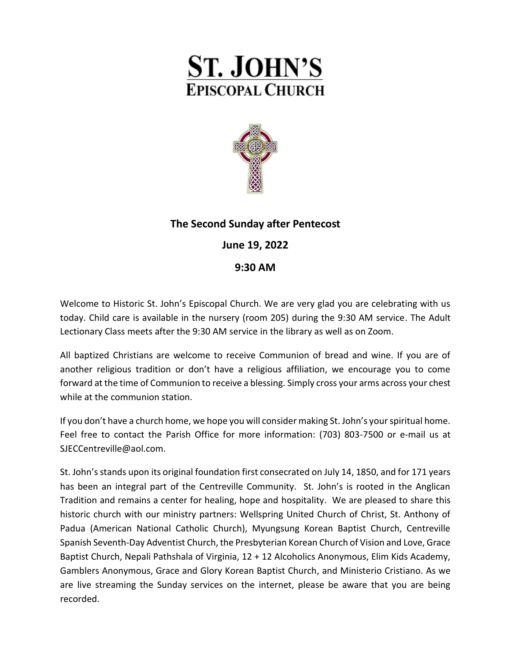



# **The Second Sunday after Pentecost**

## **June 19, 2022**

## **9:30 AM**

Welcome to Historic St. John's Episcopal Church. We are very glad you are celebrating with us today. Child care is available in the nursery (room 205) during the 9:30 AM service. The Adult Lectionary Class meets after the 9:30 AM service in the library as well as on Zoom.

All baptized Christians are welcome to receive Communion of bread and wine. If you are of another religious tradition or don't have a religious affiliation, we encourage you to come forward at the time of Communion to receive a blessing. Simply cross your arms across your chest while at the communion station.

If you don't have a church home, we hope you will consider making St. John's your spiritual home. Feel free to contact the Parish Office for more information: (703) 803-7500 or e-mail us at [SJECCentreville@aol.com.](mailto:SJECCentreville@aol.com)

St. John's stands upon its original foundation first consecrated on July 14, 1850, and for 171 years has been an integral part of the Centreville Community. St. John's is rooted in the Anglican Tradition and remains a center for healing, hope and hospitality. We are pleased to share this historic church with our ministry partners: Wellspring United Church of Christ, St. Anthony of Padua (American National Catholic Church), Myungsung Korean Baptist Church, Centreville Spanish Seventh-Day Adventist Church, the Presbyterian Korean Church of Vision and Love, Grace Baptist Church, Nepali Pathshala of Virginia, 12 + 12 Alcoholics Anonymous, Elim Kids Academy, Gamblers Anonymous, Grace and Glory Korean Baptist Church, and Ministerio Cristiano. As we are live streaming the Sunday services on the internet, please be aware that you are being recorded.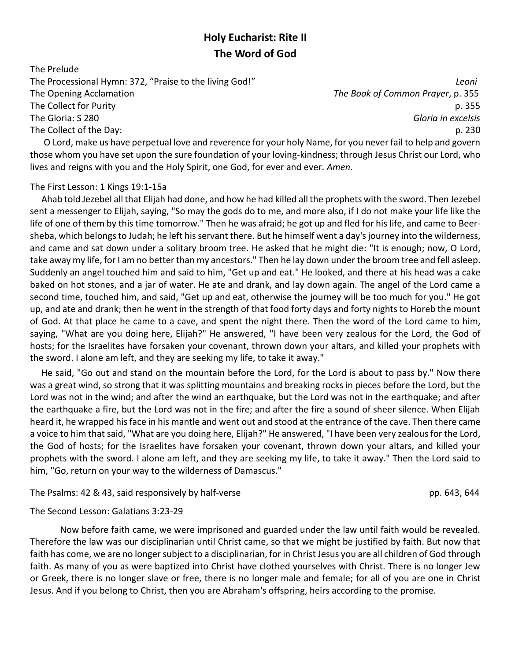## **Holy Eucharist: Rite II The Word of God**

The Prelude The Processional Hymn: 372, "Praise to the living God!" *Leoni* The Opening Acclamation *The Book of Common Prayer*, p. 355 The Collect for Purity p. 355 The Gloria: S 280 *Gloria in excelsis* The Collect of the Day: p. 230

 O Lord, make us have perpetual love and reverence for your holy Name, for you never fail to help and govern those whom you have set upon the sure foundation of your loving-kindness; through Jesus Christ our Lord, who lives and reigns with you and the Holy Spirit, one God, for ever and ever. *Amen.*

### The First Lesson: 1 Kings 19:1-15a

 Ahab told Jezebel all that Elijah had done, and how he had killed all the prophets with the sword. Then Jezebel sent a messenger to Elijah, saying, "So may the gods do to me, and more also, if I do not make your life like the life of one of them by this time tomorrow." Then he was afraid; he got up and fled for his life, and came to Beersheba, which belongs to Judah; he left his servant there. But he himself went a day's journey into the wilderness, and came and sat down under a solitary broom tree. He asked that he might die: "It is enough; now, O Lord, take away my life, for I am no better than my ancestors." Then he lay down under the broom tree and fell asleep. Suddenly an angel touched him and said to him, "Get up and eat." He looked, and there at his head was a cake baked on hot stones, and a jar of water. He ate and drank, and lay down again. The angel of the Lord came a second time, touched him, and said, "Get up and eat, otherwise the journey will be too much for you." He got up, and ate and drank; then he went in the strength of that food forty days and forty nights to Horeb the mount of God. At that place he came to a cave, and spent the night there. Then the word of the Lord came to him, saying, "What are you doing here, Elijah?" He answered, "I have been very zealous for the Lord, the God of hosts; for the Israelites have forsaken your covenant, thrown down your altars, and killed your prophets with the sword. I alone am left, and they are seeking my life, to take it away."

 He said, "Go out and stand on the mountain before the Lord, for the Lord is about to pass by." Now there was a great wind, so strong that it was splitting mountains and breaking rocks in pieces before the Lord, but the Lord was not in the wind; and after the wind an earthquake, but the Lord was not in the earthquake; and after the earthquake a fire, but the Lord was not in the fire; and after the fire a sound of sheer silence. When Elijah heard it, he wrapped his face in his mantle and went out and stood at the entrance of the cave. Then there came a voice to him that said, "What are you doing here, Elijah?" He answered, "I have been very zealous for the Lord, the God of hosts; for the Israelites have forsaken your covenant, thrown down your altars, and killed your prophets with the sword. I alone am left, and they are seeking my life, to take it away." Then the Lord said to him, "Go, return on your way to the wilderness of Damascus."

### The Psalms: 42 & 43, said responsively by half-verse presenting the parameter pp. 643, 644

### The Second Lesson: Galatians 3:23-29

Now before faith came, we were imprisoned and guarded under the law until faith would be revealed. Therefore the law was our disciplinarian until Christ came, so that we might be justified by faith. But now that faith has come, we are no longer subject to a disciplinarian, for in Christ Jesus you are all children of God through faith. As many of you as were baptized into Christ have clothed yourselves with Christ. There is no longer Jew or Greek, there is no longer slave or free, there is no longer male and female; for all of you are one in Christ Jesus. And if you belong to Christ, then you are Abraham's offspring, heirs according to the promise.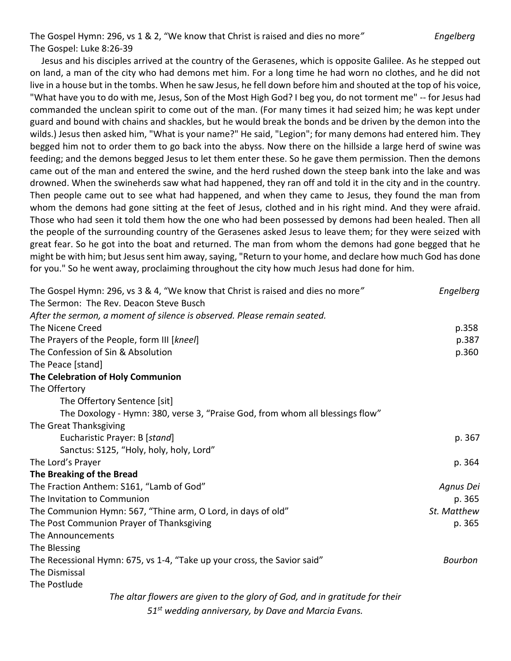The Gospel Hymn: 296, vs 1 & 2, "We know that Christ is raised and dies no more*" Engelberg* The Gospel: Luke 8:26-39

 Jesus and his disciples arrived at the country of the Gerasenes, which is opposite Galilee. As he stepped out on land, a man of the city who had demons met him. For a long time he had worn no clothes, and he did not live in a house but in the tombs. When he saw Jesus, he fell down before him and shouted at the top of his voice, "What have you to do with me, Jesus, Son of the Most High God? I beg you, do not torment me" -- for Jesus had commanded the unclean spirit to come out of the man. (For many times it had seized him; he was kept under guard and bound with chains and shackles, but he would break the bonds and be driven by the demon into the wilds.) Jesus then asked him, "What is your name?" He said, "Legion"; for many demons had entered him. They begged him not to order them to go back into the abyss. Now there on the hillside a large herd of swine was feeding; and the demons begged Jesus to let them enter these. So he gave them permission. Then the demons came out of the man and entered the swine, and the herd rushed down the steep bank into the lake and was drowned. When the swineherds saw what had happened, they ran off and told it in the city and in the country. Then people came out to see what had happened, and when they came to Jesus, they found the man from whom the demons had gone sitting at the feet of Jesus, clothed and in his right mind. And they were afraid. Those who had seen it told them how the one who had been possessed by demons had been healed. Then all the people of the surrounding country of the Gerasenes asked Jesus to leave them; for they were seized with great fear. So he got into the boat and returned. The man from whom the demons had gone begged that he might be with him; but Jesus sent him away, saying, "Return to your home, and declare how much God has done for you." So he went away, proclaiming throughout the city how much Jesus had done for him.

| The Gospel Hymn: 296, vs 3 & 4, "We know that Christ is raised and dies no more" | Engelberg      |
|----------------------------------------------------------------------------------|----------------|
| The Sermon: The Rev. Deacon Steve Busch                                          |                |
| After the sermon, a moment of silence is observed. Please remain seated.         |                |
| The Nicene Creed                                                                 | p.358          |
| The Prayers of the People, form III [kneel]                                      | p.387          |
| The Confession of Sin & Absolution                                               | p.360          |
| The Peace [stand]                                                                |                |
| The Celebration of Holy Communion                                                |                |
| The Offertory                                                                    |                |
| The Offertory Sentence [sit]                                                     |                |
| The Doxology - Hymn: 380, verse 3, "Praise God, from whom all blessings flow"    |                |
| The Great Thanksgiving                                                           |                |
| Eucharistic Prayer: B [stand]                                                    | p. 367         |
| Sanctus: S125, "Holy, holy, holy, Lord"                                          |                |
| The Lord's Prayer                                                                | p. 364         |
| The Breaking of the Bread                                                        |                |
| The Fraction Anthem: S161, "Lamb of God"                                         | Agnus Dei      |
| The Invitation to Communion                                                      | p. 365         |
| The Communion Hymn: 567, "Thine arm, O Lord, in days of old"                     | St. Matthew    |
| The Post Communion Prayer of Thanksgiving                                        | p. 365         |
| The Announcements                                                                |                |
| The Blessing                                                                     |                |
| The Recessional Hymn: 675, vs 1-4, "Take up your cross, the Savior said"         | <b>Bourbon</b> |
| The Dismissal                                                                    |                |
| The Postlude                                                                     |                |
| The altar flowers are given to the glory of God, and in gratitude for their      |                |
|                                                                                  |                |

*51st wedding anniversary, by Dave and Marcia Evans.*